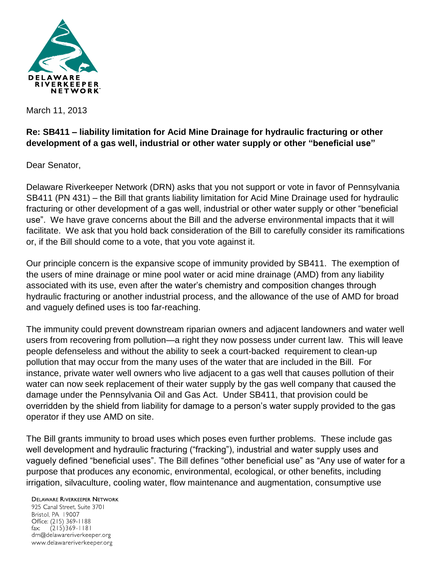

March 11, 2013

## **Re: SB411 – liability limitation for Acid Mine Drainage for hydraulic fracturing or other development of a gas well, industrial or other water supply or other "beneficial use"**

Dear Senator,

Delaware Riverkeeper Network (DRN) asks that you not support or vote in favor of Pennsylvania SB411 (PN 431) – the Bill that grants liability limitation for Acid Mine Drainage used for hydraulic fracturing or other development of a gas well, industrial or other water supply or other "beneficial use". We have grave concerns about the Bill and the adverse environmental impacts that it will facilitate. We ask that you hold back consideration of the Bill to carefully consider its ramifications or, if the Bill should come to a vote, that you vote against it.

Our principle concern is the expansive scope of immunity provided by SB411. The exemption of the users of mine drainage or mine pool water or acid mine drainage (AMD) from any liability associated with its use, even after the water's chemistry and composition changes through hydraulic fracturing or another industrial process, and the allowance of the use of AMD for broad and vaguely defined uses is too far-reaching.

The immunity could prevent downstream riparian owners and adjacent landowners and water well users from recovering from pollution—a right they now possess under current law. This will leave people defenseless and without the ability to seek a court-backed requirement to clean-up pollution that may occur from the many uses of the water that are included in the Bill. For instance, private water well owners who live adjacent to a gas well that causes pollution of their water can now seek replacement of their water supply by the gas well company that caused the damage under the Pennsylvania Oil and Gas Act. Under SB411, that provision could be overridden by the shield from liability for damage to a person's water supply provided to the gas operator if they use AMD on site.

The Bill grants immunity to broad uses which poses even further problems. These include gas well development and hydraulic fracturing ("fracking"), industrial and water supply uses and vaguely defined "beneficial uses". The Bill defines "other beneficial use" as "Any use of water for a purpose that produces any economic, environmental, ecological, or other benefits, including irrigation, silvaculture, cooling water, flow maintenance and augmentation, consumptive use

**DELAWARE RIVERKEEPER NETWORK** 925 Canal Street, Suite 3701 Bristol, PA 19007 Office: (215) 369-1188 fax:  $(215)369 - 1181$ drn@delawareriverkeeper.org www.delawareriverkeeper.org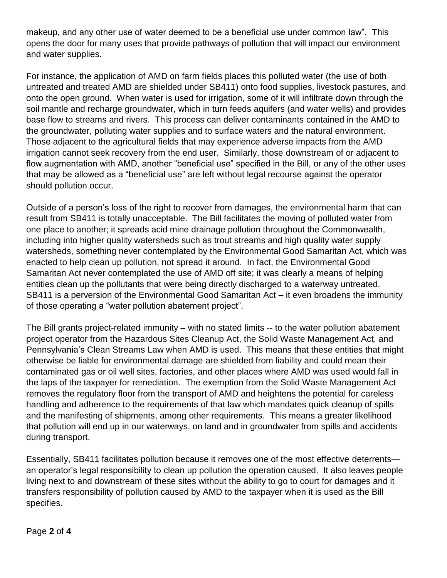makeup, and any other use of water deemed to be a beneficial use under common law". This opens the door for many uses that provide pathways of pollution that will impact our environment and water supplies.

For instance, the application of AMD on farm fields places this polluted water (the use of both untreated and treated AMD are shielded under SB411) onto food supplies, livestock pastures, and onto the open ground. When water is used for irrigation, some of it will infiltrate down through the soil mantle and recharge groundwater, which in turn feeds aquifers (and water wells) and provides base flow to streams and rivers. This process can deliver contaminants contained in the AMD to the groundwater, polluting water supplies and to surface waters and the natural environment. Those adjacent to the agricultural fields that may experience adverse impacts from the AMD irrigation cannot seek recovery from the end user. Similarly, those downstream of or adjacent to flow augmentation with AMD, another "beneficial use" specified in the Bill, or any of the other uses that may be allowed as a "beneficial use" are left without legal recourse against the operator should pollution occur.

Outside of a person's loss of the right to recover from damages, the environmental harm that can result from SB411 is totally unacceptable. The Bill facilitates the moving of polluted water from one place to another; it spreads acid mine drainage pollution throughout the Commonwealth, including into higher quality watersheds such as trout streams and high quality water supply watersheds, something never contemplated by the Environmental Good Samaritan Act, which was enacted to help clean up pollution, not spread it around. In fact, the Environmental Good Samaritan Act never contemplated the use of AMD off site; it was clearly a means of helping entities clean up the pollutants that were being directly discharged to a waterway untreated. SB411 is a perversion of the Environmental Good Samaritan Act **–** it even broadens the immunity of those operating a "water pollution abatement project".

The Bill grants project-related immunity – with no stated limits -- to the water pollution abatement project operator from the Hazardous Sites Cleanup Act, the Solid Waste Management Act, and Pennsylvania's Clean Streams Law when AMD is used. This means that these entities that might otherwise be liable for environmental damage are shielded from liability and could mean their contaminated gas or oil well sites, factories, and other places where AMD was used would fall in the laps of the taxpayer for remediation. The exemption from the Solid Waste Management Act removes the regulatory floor from the transport of AMD and heightens the potential for careless handling and adherence to the requirements of that law which mandates quick cleanup of spills and the manifesting of shipments, among other requirements. This means a greater likelihood that pollution will end up in our waterways, on land and in groundwater from spills and accidents during transport.

Essentially, SB411 facilitates pollution because it removes one of the most effective deterrents an operator's legal responsibility to clean up pollution the operation caused. It also leaves people living next to and downstream of these sites without the ability to go to court for damages and it transfers responsibility of pollution caused by AMD to the taxpayer when it is used as the Bill specifies.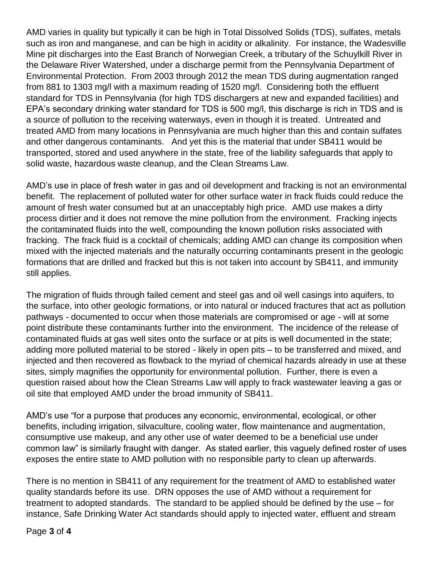AMD varies in quality but typically it can be high in Total Dissolved Solids (TDS), sulfates, metals such as iron and manganese, and can be high in acidity or alkalinity. For instance, the Wadesville Mine pit discharges into the East Branch of Norwegian Creek, a tributary of the Schuylkill River in the Delaware River Watershed, under a discharge permit from the Pennsylvania Department of Environmental Protection. From 2003 through 2012 the mean TDS during augmentation ranged from 881 to 1303 mg/l with a maximum reading of 1520 mg/l. Considering both the effluent standard for TDS in Pennsylvania (for high TDS dischargers at new and expanded facilities) and EPA's secondary drinking water standard for TDS is 500 mg/l, this discharge is rich in TDS and is a source of pollution to the receiving waterways, even in though it is treated. Untreated and treated AMD from many locations in Pennsylvania are much higher than this and contain sulfates and other dangerous contaminants. And yet this is the material that under SB411 would be transported, stored and used anywhere in the state, free of the liability safeguards that apply to solid waste, hazardous waste cleanup, and the Clean Streams Law.

AMD's use in place of fresh water in gas and oil development and fracking is not an environmental benefit. The replacement of polluted water for other surface water in frack fluids could reduce the amount of fresh water consumed but at an unacceptably high price. AMD use makes a dirty process dirtier and it does not remove the mine pollution from the environment. Fracking injects the contaminated fluids into the well, compounding the known pollution risks associated with fracking. The frack fluid is a cocktail of chemicals; adding AMD can change its composition when mixed with the injected materials and the naturally occurring contaminants present in the geologic formations that are drilled and fracked but this is not taken into account by SB411, and immunity still applies.

The migration of fluids through failed cement and steel gas and oil well casings into aquifers, to the surface, into other geologic formations, or into natural or induced fractures that act as pollution pathways - documented to occur when those materials are compromised or age - will at some point distribute these contaminants further into the environment. The incidence of the release of contaminated fluids at gas well sites onto the surface or at pits is well documented in the state; adding more polluted material to be stored - likely in open pits – to be transferred and mixed, and injected and then recovered as flowback to the myriad of chemical hazards already in use at these sites, simply magnifies the opportunity for environmental pollution. Further, there is even a question raised about how the Clean Streams Law will apply to frack wastewater leaving a gas or oil site that employed AMD under the broad immunity of SB411.

AMD's use "for a purpose that produces any economic, environmental, ecological, or other benefits, including irrigation, silvaculture, cooling water, flow maintenance and augmentation, consumptive use makeup, and any other use of water deemed to be a beneficial use under common law" is similarly fraught with danger. As stated earlier, this vaguely defined roster of uses exposes the entire state to AMD pollution with no responsible party to clean up afterwards.

There is no mention in SB411 of any requirement for the treatment of AMD to established water quality standards before its use. DRN opposes the use of AMD without a requirement for treatment to adopted standards. The standard to be applied should be defined by the use – for instance, Safe Drinking Water Act standards should apply to injected water, effluent and stream

Page **3** of **4**